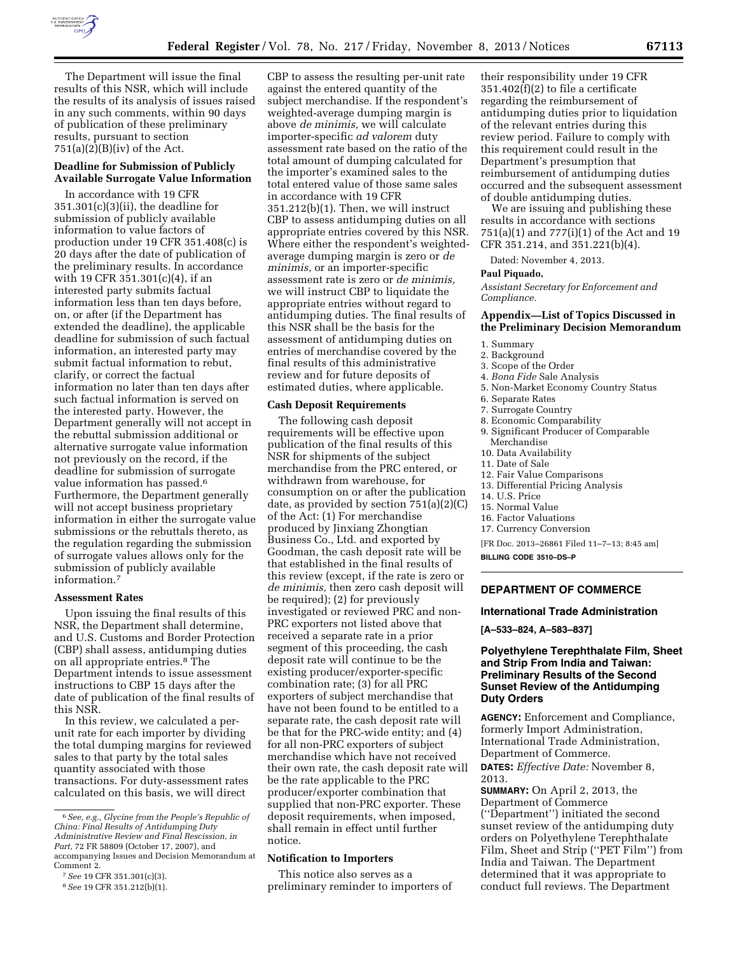

The Department will issue the final results of this NSR, which will include the results of its analysis of issues raised in any such comments, within 90 days of publication of these preliminary results, pursuant to section  $751(a)(2)(B)(iv)$  of the Act.

## **Deadline for Submission of Publicly Available Surrogate Value Information**

In accordance with 19 CFR 351.301(c)(3)(ii), the deadline for submission of publicly available information to value factors of production under 19 CFR 351.408(c) is 20 days after the date of publication of the preliminary results. In accordance with 19 CFR 351.301(c)(4), if an interested party submits factual information less than ten days before, on, or after (if the Department has extended the deadline), the applicable deadline for submission of such factual information, an interested party may submit factual information to rebut, clarify, or correct the factual information no later than ten days after such factual information is served on the interested party. However, the Department generally will not accept in the rebuttal submission additional or alternative surrogate value information not previously on the record, if the deadline for submission of surrogate value information has passed.<sup>6</sup> Furthermore, the Department generally will not accept business proprietary information in either the surrogate value submissions or the rebuttals thereto, as the regulation regarding the submission of surrogate values allows only for the submission of publicly available information.7

#### **Assessment Rates**

Upon issuing the final results of this NSR, the Department shall determine, and U.S. Customs and Border Protection (CBP) shall assess, antidumping duties on all appropriate entries.8 The Department intends to issue assessment instructions to CBP 15 days after the date of publication of the final results of this NSR.

In this review, we calculated a perunit rate for each importer by dividing the total dumping margins for reviewed sales to that party by the total sales quantity associated with those transactions. For duty-assessment rates calculated on this basis, we will direct

CBP to assess the resulting per-unit rate against the entered quantity of the subject merchandise. If the respondent's weighted-average dumping margin is above *de minimis,* we will calculate importer-specific *ad valorem* duty assessment rate based on the ratio of the total amount of dumping calculated for the importer's examined sales to the total entered value of those same sales in accordance with 19 CFR 351.212(b)(1). Then, we will instruct CBP to assess antidumping duties on all appropriate entries covered by this NSR. Where either the respondent's weightedaverage dumping margin is zero or *de minimis,* or an importer-specific assessment rate is zero or *de minimis,*  we will instruct CBP to liquidate the appropriate entries without regard to antidumping duties. The final results of this NSR shall be the basis for the assessment of antidumping duties on entries of merchandise covered by the final results of this administrative review and for future deposits of estimated duties, where applicable.

## **Cash Deposit Requirements**

The following cash deposit requirements will be effective upon publication of the final results of this NSR for shipments of the subject merchandise from the PRC entered, or withdrawn from warehouse, for consumption on or after the publication date, as provided by section 751(a)(2)(C) of the Act: (1) For merchandise produced by Jinxiang Zhongtian Business Co., Ltd. and exported by Goodman, the cash deposit rate will be that established in the final results of this review (except, if the rate is zero or *de minimis,* then zero cash deposit will be required); (2) for previously investigated or reviewed PRC and non-PRC exporters not listed above that received a separate rate in a prior segment of this proceeding, the cash deposit rate will continue to be the existing producer/exporter-specific combination rate; (3) for all PRC exporters of subject merchandise that have not been found to be entitled to a separate rate, the cash deposit rate will be that for the PRC-wide entity; and (4) for all non-PRC exporters of subject merchandise which have not received their own rate, the cash deposit rate will be the rate applicable to the PRC producer/exporter combination that supplied that non-PRC exporter. These deposit requirements, when imposed, shall remain in effect until further notice.

## **Notification to Importers**

This notice also serves as a preliminary reminder to importers of their responsibility under 19 CFR 351.402(f)(2) to file a certificate regarding the reimbursement of antidumping duties prior to liquidation of the relevant entries during this review period. Failure to comply with this requirement could result in the Department's presumption that reimbursement of antidumping duties occurred and the subsequent assessment of double antidumping duties.

We are issuing and publishing these results in accordance with sections 751(a)(1) and 777(i)(1) of the Act and 19 CFR 351.214, and 351.221(b)(4).

Dated: November 4, 2013.

#### **Paul Piquado,**

*Assistant Secretary for Enforcement and Compliance.* 

## **Appendix—List of Topics Discussed in the Preliminary Decision Memorandum**

- 1. Summary
- 2. Background
- 3. Scope of the Order
- 4. *Bona Fide* Sale Analysis
- 5. Non-Market Economy Country Status
- 6. Separate Rates
- 7. Surrogate Country
- 8. Economic Comparability
- 9. Significant Producer of Comparable
- Merchandise
- 10. Data Availability
- 11. Date of Sale
- 12. Fair Value Comparisons
- 13. Differential Pricing Analysis 14. U.S. Price
- 15. Normal Value
- 16. Factor Valuations
- 
- 17. Currency Conversion

[FR Doc. 2013–26861 Filed 11–7–13; 8:45 am]

**BILLING CODE 3510–DS–P** 

# **DEPARTMENT OF COMMERCE**

### **International Trade Administration**

**[A–533–824, A–583–837]** 

## **Polyethylene Terephthalate Film, Sheet and Strip From India and Taiwan: Preliminary Results of the Second Sunset Review of the Antidumping Duty Orders**

**AGENCY:** Enforcement and Compliance, formerly Import Administration, International Trade Administration, Department of Commerce. **DATES:** *Effective Date:* November 8, 2013.

**SUMMARY:** On April 2, 2013, the Department of Commerce (''Department'') initiated the second sunset review of the antidumping duty orders on Polyethylene Terephthalate Film, Sheet and Strip (''PET Film'') from India and Taiwan. The Department determined that it was appropriate to conduct full reviews. The Department

<sup>6</sup>*See, e.g., Glycine from the People's Republic of China: Final Results of Antidumping Duty Administrative Review and Final Rescission, in Part,* 72 FR 58809 (October 17, 2007), and accompanying Issues and Decision Memorandum at Comment 2.

<sup>7</sup>*See* 19 CFR 351.301(c)(3).

<sup>8</sup>*See* 19 CFR 351.212(b)(1).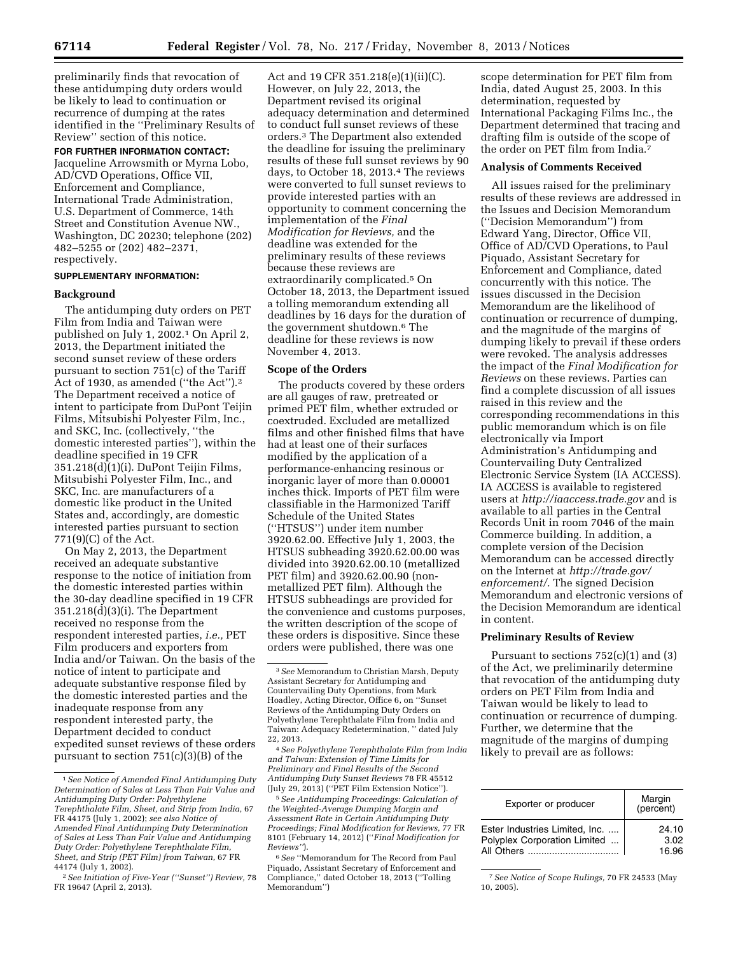preliminarily finds that revocation of these antidumping duty orders would be likely to lead to continuation or recurrence of dumping at the rates identified in the ''Preliminary Results of Review'' section of this notice.

**FOR FURTHER INFORMATION CONTACT:**  Jacqueline Arrowsmith or Myrna Lobo, AD/CVD Operations, Office VII, Enforcement and Compliance, International Trade Administration, U.S. Department of Commerce, 14th Street and Constitution Avenue NW., Washington, DC 20230; telephone (202) 482–5255 or (202) 482–2371, respectively.

# **SUPPLEMENTARY INFORMATION:**

#### **Background**

The antidumping duty orders on PET Film from India and Taiwan were published on July 1, 2002.1 On April 2, 2013, the Department initiated the second sunset review of these orders pursuant to section 751(c) of the Tariff Act of 1930, as amended (''the Act'').2 The Department received a notice of intent to participate from DuPont Teijin Films, Mitsubishi Polyester Film, Inc., and SKC, Inc. (collectively, ''the domestic interested parties''), within the deadline specified in 19 CFR 351.218(d)(1)(i). DuPont Teijin Films, Mitsubishi Polyester Film, Inc., and SKC, Inc. are manufacturers of a domestic like product in the United States and, accordingly, are domestic interested parties pursuant to section 771(9)(C) of the Act.

On May 2, 2013, the Department received an adequate substantive response to the notice of initiation from the domestic interested parties within the 30-day deadline specified in 19 CFR 351.218(d)(3)(i). The Department received no response from the respondent interested parties, *i.e.,* PET Film producers and exporters from India and/or Taiwan. On the basis of the notice of intent to participate and adequate substantive response filed by the domestic interested parties and the inadequate response from any respondent interested party, the Department decided to conduct expedited sunset reviews of these orders pursuant to section 751(c)(3)(B) of the

Act and 19 CFR 351.218(e)(1)(ii)(C). However, on July 22, 2013, the Department revised its original adequacy determination and determined to conduct full sunset reviews of these orders.3 The Department also extended the deadline for issuing the preliminary results of these full sunset reviews by 90 days, to October 18, 2013.4 The reviews were converted to full sunset reviews to provide interested parties with an opportunity to comment concerning the implementation of the *Final Modification for Reviews,* and the deadline was extended for the preliminary results of these reviews because these reviews are extraordinarily complicated.5 On October 18, 2013, the Department issued a tolling memorandum extending all deadlines by 16 days for the duration of the government shutdown.6 The deadline for these reviews is now November 4, 2013.

### **Scope of the Orders**

The products covered by these orders are all gauges of raw, pretreated or primed PET film, whether extruded or coextruded. Excluded are metallized films and other finished films that have had at least one of their surfaces modified by the application of a performance-enhancing resinous or inorganic layer of more than 0.00001 inches thick. Imports of PET film were classifiable in the Harmonized Tariff Schedule of the United States (''HTSUS'') under item number 3920.62.00. Effective July 1, 2003, the HTSUS subheading 3920.62.00.00 was divided into 3920.62.00.10 (metallized PET film) and 3920.62.00.90 (nonmetallized PET film). Although the HTSUS subheadings are provided for the convenience and customs purposes, the written description of the scope of these orders is dispositive. Since these orders were published, there was one

4*See Polyethylene Terephthalate Film from India and Taiwan: Extension of Time Limits for Preliminary and Final Results of the Second Antidumping Duty Sunset Reviews* 78 FR 45512 (July 29, 2013) (''PET Film Extension Notice'').

5*See Antidumping Proceedings: Calculation of the Weighted-Average Dumping Margin and Assessment Rate in Certain Antidumping Duty Proceedings; Final Modification for Reviews,* 77 FR 8101 (February 14, 2012) (''*Final Modification for Reviews''*).

6*See* ''Memorandum for The Record from Paul Piquado, Assistant Secretary of Enforcement and Compliance,'' dated October 18, 2013 (''Tolling Memorandum'')

scope determination for PET film from India, dated August 25, 2003. In this determination, requested by International Packaging Films Inc., the Department determined that tracing and drafting film is outside of the scope of the order on PET film from India.7

#### **Analysis of Comments Received**

All issues raised for the preliminary results of these reviews are addressed in the Issues and Decision Memorandum (''Decision Memorandum'') from Edward Yang, Director, Office VII, Office of AD/CVD Operations, to Paul Piquado, Assistant Secretary for Enforcement and Compliance, dated concurrently with this notice. The issues discussed in the Decision Memorandum are the likelihood of continuation or recurrence of dumping, and the magnitude of the margins of dumping likely to prevail if these orders were revoked. The analysis addresses the impact of the *Final Modification for Reviews* on these reviews. Parties can find a complete discussion of all issues raised in this review and the corresponding recommendations in this public memorandum which is on file electronically via Import Administration's Antidumping and Countervailing Duty Centralized Electronic Service System (IA ACCESS). IA ACCESS is available to registered users at *<http://iaaccess.trade.gov>* and is available to all parties in the Central Records Unit in room 7046 of the main Commerce building. In addition, a complete version of the Decision Memorandum can be accessed directly on the Internet at *[http://trade.gov/](http://trade.gov/enforcement/) [enforcement/.](http://trade.gov/enforcement/)* The signed Decision Memorandum and electronic versions of the Decision Memorandum are identical in content.

#### **Preliminary Results of Review**

Pursuant to sections  $752(c)(1)$  and  $(3)$ of the Act, we preliminarily determine that revocation of the antidumping duty orders on PET Film from India and Taiwan would be likely to lead to continuation or recurrence of dumping. Further, we determine that the magnitude of the margins of dumping likely to prevail are as follows:

| Exporter or producer           | Margin<br>(percent) |
|--------------------------------|---------------------|
| Ester Industries Limited, Inc. | 24.10               |
| Polyplex Corporation Limited   | 3.02                |
|                                | 16.96               |

7*See Notice of Scope Rulings,* 70 FR 24533 (May 10, 2005).

<sup>1</sup>*See Notice of Amended Final Antidumping Duty Determination of Sales at Less Than Fair Value and Antidumping Duty Order: Polyethylene Terephthalate Film, Sheet, and Strip from India,* 67 FR 44175 (July 1, 2002); *see also Notice of Amended Final Antidumping Duty Determination of Sales at Less Than Fair Value and Antidumping Duty Order: Polyethylene Terephthalate Film, Sheet, and Strip (PET Film) from Taiwan,* 67 FR 44174 (July 1, 2002).

<sup>2</sup>*See Initiation of Five-Year (''Sunset'') Review,* 78 FR 19647 (April 2, 2013).

<sup>3</sup>*See* Memorandum to Christian Marsh, Deputy Assistant Secretary for Antidumping and Countervailing Duty Operations, from Mark Hoadley, Acting Director, Office 6, on ''Sunset Reviews of the Antidumping Duty Orders on Polyethylene Terephthalate Film from India and Taiwan: Adequacy Redetermination, '' dated July 22, 2013.